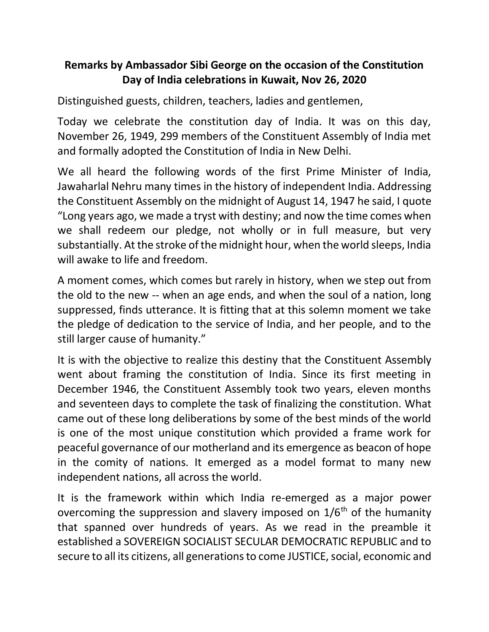## **Remarks by Ambassador Sibi George on the occasion of the Constitution Day of India celebrations in Kuwait, Nov 26, 2020**

Distinguished guests, children, teachers, ladies and gentlemen,

Today we celebrate the constitution day of India. It was on this day, November 26, 1949, 299 members of the Constituent Assembly of India met and formally adopted the Constitution of India in New Delhi.

We all heard the following words of the first Prime Minister of India, Jawaharlal Nehru many times in the history of independent India. Addressing the Constituent Assembly on the midnight of August 14, 1947 he said, I quote "Long years ago, we made a tryst with destiny; and now the time comes when we shall redeem our pledge, not wholly or in full measure, but very substantially. At the stroke of the midnight hour, when the world sleeps, India will awake to life and freedom.

A moment comes, which comes but rarely in history, when we step out from the old to the new -- when an age ends, and when the soul of a nation, long suppressed, finds utterance. It is fitting that at this solemn moment we take the pledge of dedication to the service of India, and her people, and to the still larger cause of humanity."

It is with the objective to realize this destiny that the Constituent Assembly went about framing the constitution of India. Since its first meeting in December 1946, the Constituent Assembly took two years, eleven months and seventeen days to complete the task of finalizing the constitution. What came out of these long deliberations by some of the best minds of the world is one of the most unique constitution which provided a frame work for peaceful governance of our motherland and its emergence as beacon of hope in the comity of nations. It emerged as a model format to many new independent nations, all across the world.

It is the framework within which India re-emerged as a major power overcoming the suppression and slavery imposed on  $1/6<sup>th</sup>$  of the humanity that spanned over hundreds of years. As we read in the preamble it established a SOVEREIGN SOCIALIST SECULAR DEMOCRATIC REPUBLIC and to secure to all its citizens, all generations to come JUSTICE, social, economic and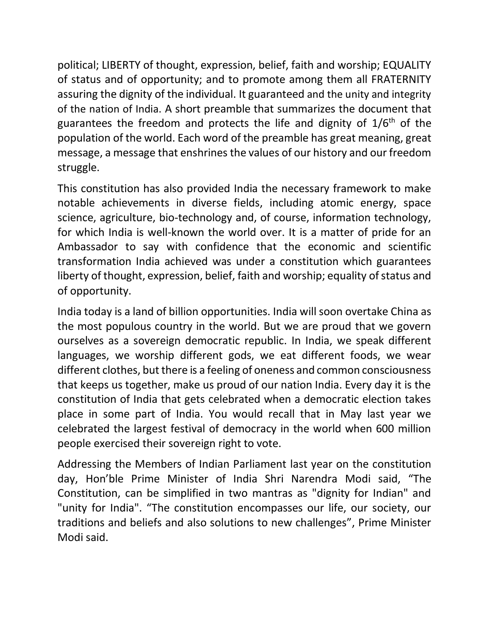political; LIBERTY of thought, expression, belief, faith and worship; EQUALITY of status and of opportunity; and to promote among them all FRATERNITY assuring the dignity of the individual. It guaranteed and the unity and integrity of the nation of India. A short preamble that summarizes the document that guarantees the freedom and protects the life and dignity of  $1/6<sup>th</sup>$  of the population of the world. Each word of the preamble has great meaning, great message, a message that enshrines the values of our history and our freedom struggle.

This constitution has also provided India the necessary framework to make notable achievements in diverse fields, including atomic energy, space science, agriculture, bio-technology and, of course, information technology, for which India is well-known the world over. It is a matter of pride for an Ambassador to say with confidence that the economic and scientific transformation India achieved was under a constitution which guarantees liberty of thought, expression, belief, faith and worship; equality of status and of opportunity.

India today is a land of billion opportunities. India will soon overtake China as the most populous country in the world. But we are proud that we govern ourselves as a sovereign democratic republic. In India, we speak different languages, we worship different gods, we eat different foods, we wear different clothes, but there is a feeling of oneness and common consciousness that keeps us together, make us proud of our nation India. Every day it is the constitution of India that gets celebrated when a democratic election takes place in some part of India. You would recall that in May last year we celebrated the largest festival of democracy in the world when 600 million people exercised their sovereign right to vote.

Addressing the Members of Indian Parliament last year on the constitution day, Hon'ble Prime Minister of India Shri Narendra Modi said, "The Constitution, can be simplified in two mantras as "dignity for Indian" and "unity for India". "The constitution encompasses our life, our society, our traditions and beliefs and also solutions to new challenges", Prime Minister Modi said.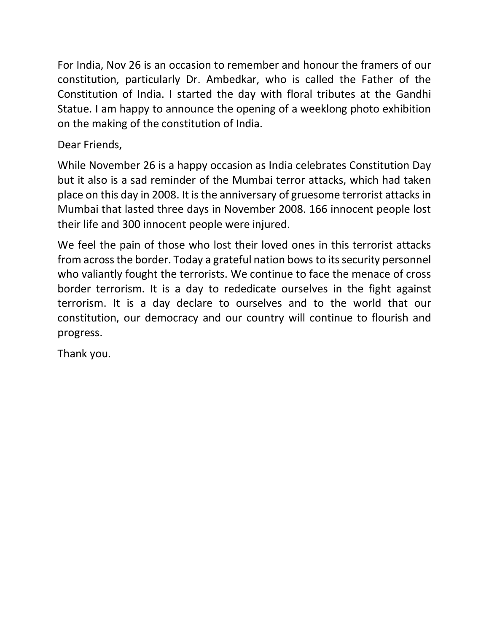For India, Nov 26 is an occasion to remember and honour the framers of our constitution, particularly Dr. Ambedkar, who is called the Father of the Constitution of India. I started the day with floral tributes at the Gandhi Statue. I am happy to announce the opening of a weeklong photo exhibition on the making of the constitution of India.

Dear Friends,

While November 26 is a happy occasion as India celebrates Constitution Day but it also is a sad reminder of the Mumbai terror attacks, which had taken place on this day in 2008. It is the anniversary of gruesome terrorist attacks in Mumbai that lasted three days in November 2008. 166 innocent people lost their life and 300 innocent people were injured.

We feel the pain of those who lost their loved ones in this terrorist attacks from across the border. Today a grateful nation bows to its security personnel who valiantly fought the terrorists. We continue to face the menace of cross border terrorism. It is a day to rededicate ourselves in the fight against terrorism. It is a day declare to ourselves and to the world that our constitution, our democracy and our country will continue to flourish and progress.

Thank you.